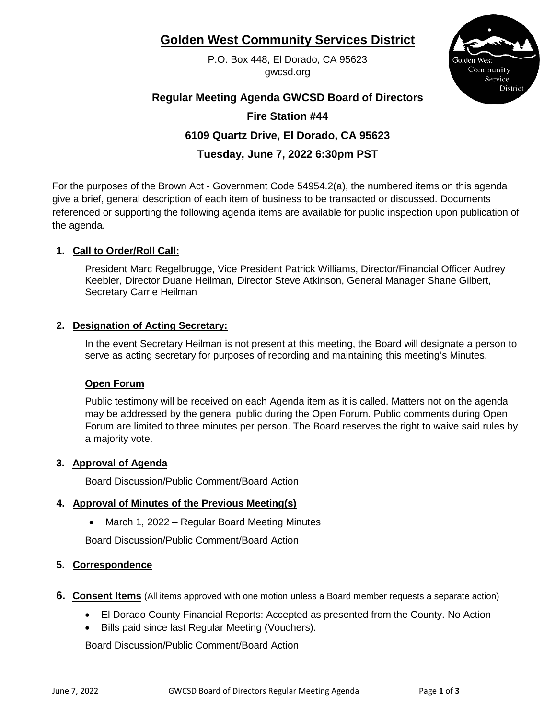# **Golden West Community Services District**

P.O. Box 448, El Dorado, CA 95623 gwcsd.org



# **Regular Meeting Agenda GWCSD Board of Directors**

# **Fire Station #44**

# **6109 Quartz Drive, El Dorado, CA 95623**

**Tuesday, June 7, 2022 6:30pm PST**

For the purposes of the Brown Act - Government Code 54954.2(a), the numbered items on this agenda give a brief, general description of each item of business to be transacted or discussed. Documents referenced or supporting the following agenda items are available for public inspection upon publication of the agenda.

# **1. Call to Order/Roll Call:**

President Marc Regelbrugge, Vice President Patrick Williams, Director/Financial Officer Audrey Keebler, Director Duane Heilman, Director Steve Atkinson, General Manager Shane Gilbert, Secretary Carrie Heilman

#### **2. Designation of Acting Secretary:**

In the event Secretary Heilman is not present at this meeting, the Board will designate a person to serve as acting secretary for purposes of recording and maintaining this meeting's Minutes.

#### **Open Forum**

Public testimony will be received on each Agenda item as it is called. Matters not on the agenda may be addressed by the general public during the Open Forum. Public comments during Open Forum are limited to three minutes per person. The Board reserves the right to waive said rules by a majority vote.

#### **3. Approval of Agenda**

Board Discussion/Public Comment/Board Action

# **4. Approval of Minutes of the Previous Meeting(s)**

• March 1, 2022 – Regular Board Meeting Minutes

Board Discussion/Public Comment/Board Action

# **5. Correspondence**

- **6. Consent Items** (All items approved with one motion unless a Board member requests a separate action)
	- El Dorado County Financial Reports: Accepted as presented from the County. No Action
	- Bills paid since last Regular Meeting (Vouchers).

Board Discussion/Public Comment/Board Action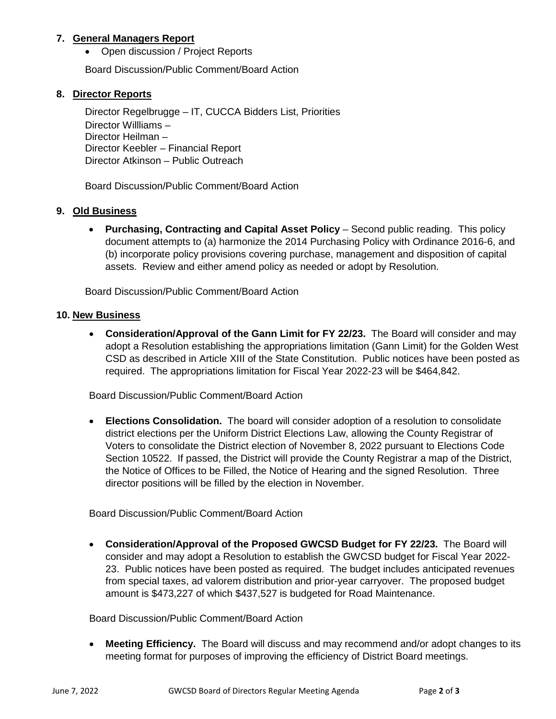#### **7. General Managers Report**

• Open discussion / Project Reports

Board Discussion/Public Comment/Board Action

#### **8. Director Reports**

Director Regelbrugge – IT, CUCCA Bidders List, Priorities Director Willliams – Director Heilman – Director Keebler – Financial Report Director Atkinson – Public Outreach

Board Discussion/Public Comment/Board Action

#### **9. Old Business**

• **Purchasing, Contracting and Capital Asset Policy** – Second public reading. This policy document attempts to (a) harmonize the 2014 Purchasing Policy with Ordinance 2016-6, and (b) incorporate policy provisions covering purchase, management and disposition of capital assets. Review and either amend policy as needed or adopt by Resolution.

Board Discussion/Public Comment/Board Action

#### **10. New Business**

• **Consideration/Approval of the Gann Limit for FY 22/23.** The Board will consider and may adopt a Resolution establishing the appropriations limitation (Gann Limit) for the Golden West CSD as described in Article XIII of the State Constitution. Public notices have been posted as required. The appropriations limitation for Fiscal Year 2022-23 will be \$464,842.

Board Discussion/Public Comment/Board Action

• **Elections Consolidation.** The board will consider adoption of a resolution to consolidate district elections per the Uniform District Elections Law, allowing the County Registrar of Voters to consolidate the District election of November 8, 2022 pursuant to Elections Code Section 10522. If passed, the District will provide the County Registrar a map of the District, the Notice of Offices to be Filled, the Notice of Hearing and the signed Resolution. Three director positions will be filled by the election in November.

Board Discussion/Public Comment/Board Action

• **Consideration/Approval of the Proposed GWCSD Budget for FY 22/23.** The Board will consider and may adopt a Resolution to establish the GWCSD budget for Fiscal Year 2022- 23. Public notices have been posted as required. The budget includes anticipated revenues from special taxes, ad valorem distribution and prior-year carryover. The proposed budget amount is \$473,227 of which \$437,527 is budgeted for Road Maintenance.

Board Discussion/Public Comment/Board Action

• **Meeting Efficiency.** The Board will discuss and may recommend and/or adopt changes to its meeting format for purposes of improving the efficiency of District Board meetings.